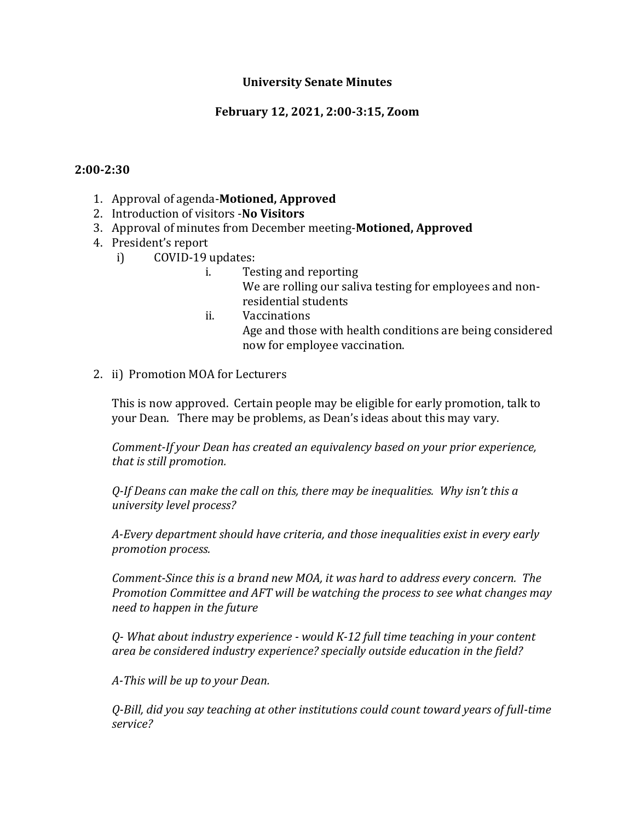### **University Senate Minutes**

### **February 12, 2021, 2:00-3:15, Zoom**

#### **2:00-2:30**

- 1. Approval of agenda-**Motioned, Approved**
- 2. Introduction of visitors -**No Visitors**
- 3. Approval of minutes from December meeting-**Motioned, Approved**
- 4. President's report
	- i) COVID-19 updates:
		- i. Testing and reporting We are rolling our saliva testing for employees and nonresidential students
		- ii. Vaccinations Age and those with health conditions are being considered now for employee vaccination.
- 2. ii) Promotion MOA for Lecturers

This is now approved. Certain people may be eligible for early promotion, talk to your Dean. There may be problems, as Dean's ideas about this may vary.

*Comment-If your Dean has created an equivalency based on your prior experience, that is still promotion.*

*Q-If Deans can make the call on this, there may be inequalities. Why isn't this a university level process?*

*A-Every department should have criteria, and those inequalities exist in every early promotion process.*

*Comment-Since this is a brand new MOA, it was hard to address every concern. The Promotion Committee and AFT will be watching the process to see what changes may need to happen in the future*

*Q- What about industry experience - would K-12 full time teaching in your content area be considered industry experience? specially outside education in the field?*

*A-This will be up to your Dean.*

*Q-Bill, did you say teaching at other institutions could count toward years of full-time service?*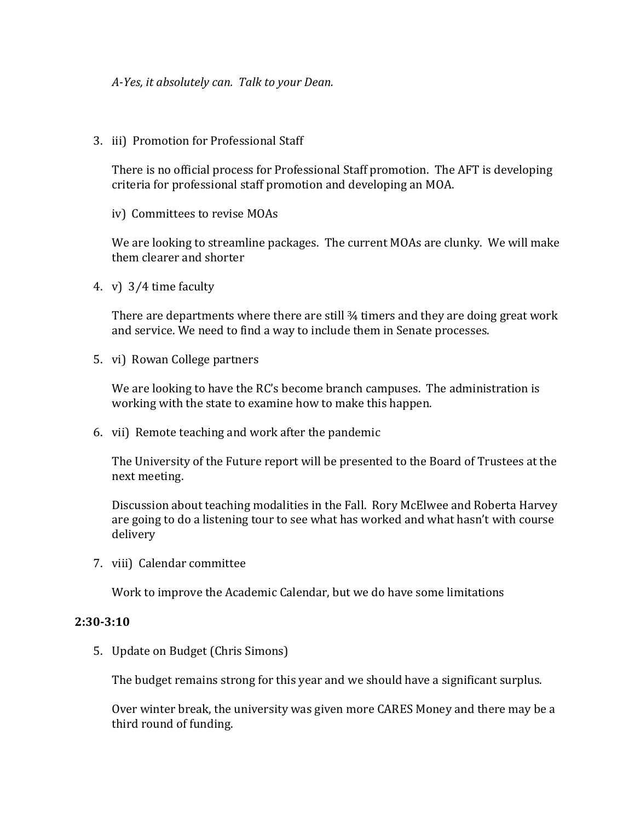*A-Yes, it absolutely can. Talk to your Dean.*

3. iii) Promotion for Professional Staff

There is no official process for Professional Staff promotion. The AFT is developing criteria for professional staff promotion and developing an MOA.

iv) Committees to revise MOAs

We are looking to streamline packages. The current MOAs are clunky. We will make them clearer and shorter

4. v) 3⁄4 time faculty

There are departments where there are still ¾ timers and they are doing great work and service. We need to find a way to include them in Senate processes.

5. vi) Rowan College partners

We are looking to have the RC's become branch campuses. The administration is working with the state to examine how to make this happen.

6. vii) Remote teaching and work after the pandemic

The University of the Future report will be presented to the Board of Trustees at the next meeting.

Discussion about teaching modalities in the Fall. Rory McElwee and Roberta Harvey are going to do a listening tour to see what has worked and what hasn't with course delivery

7. viii) Calendar committee

Work to improve the Academic Calendar, but we do have some limitations

#### **2:30-3:10**

5. Update on Budget (Chris Simons)

The budget remains strong for this year and we should have a significant surplus.

Over winter break, the university was given more CARES Money and there may be a third round of funding.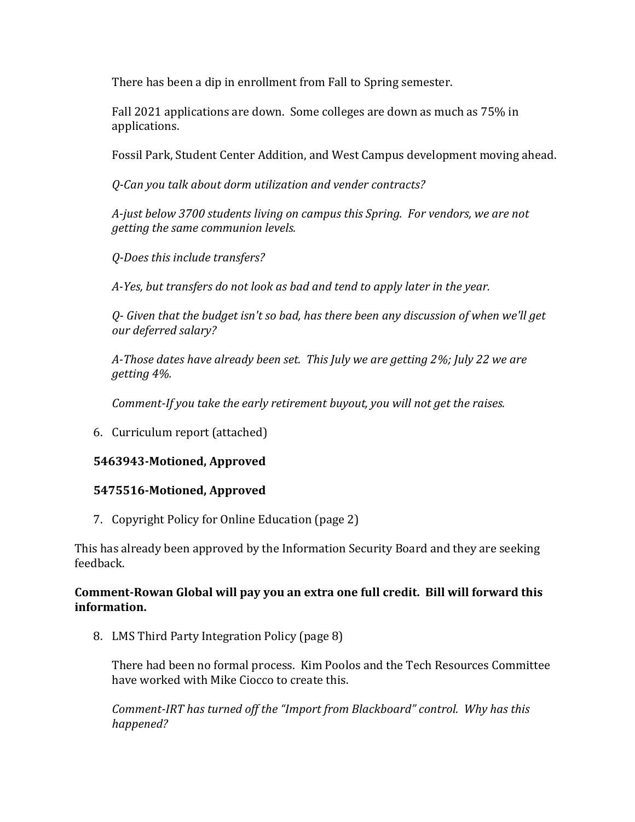There has been a dip in enrollment from Fall to Spring semester.

Fall 2021 applications are down. Some colleges are down as much as 75% in applications.

Fossil Park, Student Center Addition, and West Campus development moving ahead.

*Q-Can you talk about dorm utilization and vender contracts?*

*A-just below 3700 students living on campus this Spring. For vendors, we are not getting the same communion levels.*

*Q-Does this include transfers?*

*A-Yes, but transfers do not look as bad and tend to apply later in the year.*

*Q- Given that the budget isn't so bad, has there been any discussion of when we'll get our deferred salary?*

*A-Those dates have already been set. This July we are getting 2%; July 22 we are getting 4%.*

*Comment-If you take the early retirement buyout, you will not get the raises.*

6. Curriculum report (attached)

# **5463943-Motioned, Approved**

### **5475516-Motioned, Approved**

7. Copyright Policy for Online Education (page 2)

This has already been approved by the Information Security Board and they are seeking feedback.

### **Comment-Rowan Global will pay you an extra one full credit. Bill will forward this information.**

8. LMS Third Party Integration Policy (page 8)

There had been no formal process. Kim Poolos and the Tech Resources Committee have worked with Mike Ciocco to create this.

*Comment-IRT has turned off the "Import from Blackboard" control. Why has this happened?*